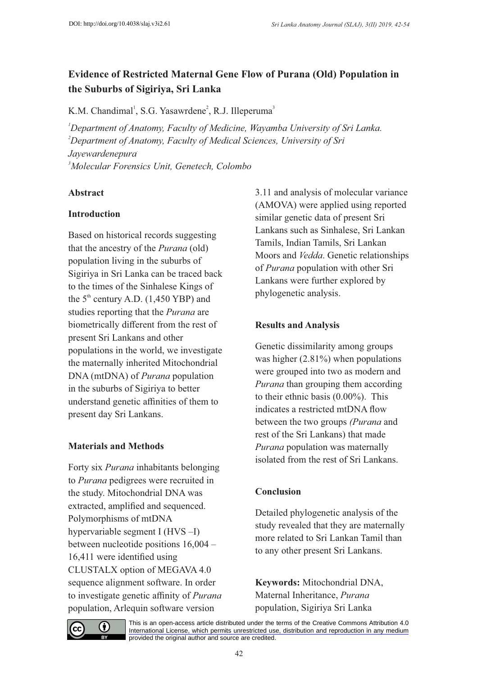# **Evidence of Restricted Maternal Gene Flow of Purana (Old) Population in the Suburbs of Sigiriya, Sri Lanka**

K.M. Chandimal<sup>1</sup>, S.G. Yasawrdene<sup>2</sup>, R.J. Illeperuma<sup>3</sup>

*Department of Anatomy, Faculty of Medicine, Wayamba University of Sri Lanka. Department of Anatomy, Faculty of Medical Sciences, University of Sri . Jayewardenepura Molecular Forensics Unit, Genetech, Colombo*

### **Abstract**

### **Introduction**

Based on historical records suggesting that the ancestry of the *Purana* (old) population living in the suburbs of Sigiriya in Sri Lanka can be traced back to the times of the Sinhalese Kings of the  $5<sup>th</sup>$  century A.D. (1,450 YBP) and studies reporting that the *Purana* are biometrically different from the rest of present Sri Lankans and other populations in the world, we investigate the maternally inherited Mitochondrial DNA (mtDNA) of *Purana* population in the suburbs of Sigiriya to better understand genetic affinities of them to present day Sri Lankans.

## **Materials and Methods**

Forty six *Purana* inhabitants belonging to *Purana* pedigrees were recruited in the study. Mitochondrial DNA was extracted, amplified and sequenced. Polymorphisms of mtDNA hypervariable segment I (HVS –I) between nucleotide positions 16,004 – 16,411 were identified using CLUSTALX option of MEGAVA 4.0 sequence alignment software. In order to investigate genetic affinity of *Purana* population, Arlequin software version

3.11 and analysis of molecular variance (AMOVA) were applied using reported similar genetic data of present Sri Lankans such as Sinhalese, Sri Lankan Tamils, Indian Tamils, Sri Lankan Moors and *Vedda*. Genetic relationships of *Purana* population with other Sri Lankans were further explored by phylogenetic analysis.

## **Results and Analysis**

Genetic dissimilarity among groups was higher  $(2.81\%)$  when populations were grouped into two as modern and *Purana* than grouping them according to their ethnic basis (0.00%). This indicates a restricted mtDNA flow between the two groups *(Purana* and rest of the Sri Lankans) that made *Purana* population was maternally isolated from the rest of Sri Lankans.

## **Conclusion**

Detailed phylogenetic analysis of the study revealed that they are maternally more related to Sri Lankan Tamil than to any other present Sri Lankans.

**Keywords:** Mitochondrial DNA, Maternal Inheritance, *Purana* population, Sigiriya Sri Lanka



[This is an open-access article distributed under the terms of the Creative Commons Attribution 4.0](https://creativecommons.org/licenses/by/4.0/) International License, which permits unrestricted use, distribution and reproduction in any medium provided the original author and source are credited.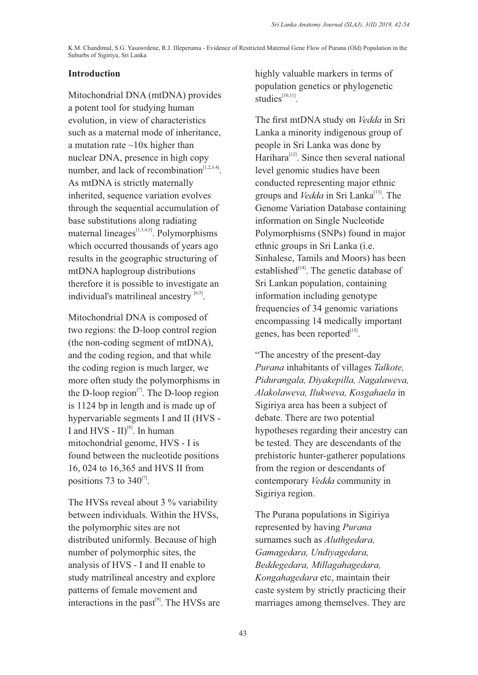#### **Introduction**

Mitochondrial DNA (mtDNA) provides a potent tool for studying human evolution, in view of characteristics such as a maternal mode of inheritance, a mutation rate  $\sim$ 10x higher than nuclear DNA, presence in high copy number, and lack of recombination $[1,2,3,4]$ . As mtDNA is strictly maternally inherited, sequence variation evolves through the sequential accumulation of base substitutions along radiating maternal lineages $\left[1,3,4,5\right]$ . Polymorphisms which occurred thousands of years ago results in the geographic structuring of mtDNA haplogroup distributions therefore it is possible to investigate an individual's matrilineal ancestry  $[6,5]$ .

Mitochondrial DNA is composed of two regions: the D-loop control region (the non-coding segment of mtDNA), and the coding region, and that while the coding region is much larger, we more often study the polymorphisms in the D-loop region<sup> $[7]$ </sup>. The D-loop region is 1124 bp in length and is made up of hypervariable segments I and II (HVS - I and HVS -  $II$ <sup>[8]</sup>. In human mitochondrial genome, HVS - I is found between the nucleotide positions 16, 024 to 16,365 and HVS II from positions 73 to  $340^{[7]}$ .

The HVSs reveal about 3 % variability between individuals. Within the HVSs, the polymorphic sites are not distributed uniformly. Because of high number of polymorphic sites, the analysis of HVS - I and II enable to study matrilineal ancestry and explore patterns of female movement and interactions in the past $^{[9]}$ . The HVSs are highly valuable markers in terms of population genetics or phylogenetic  $studies<sup>[10,11]</sup>$ 

The first mtDNA study on *Vedda* in Sri Lanka a minority indigenous group of people in Sri Lanka was done by Harihara $^{[12]}$ . Since then several national level genomic studies have been conducted representing major ethnic groups and *Vedda* in Sri Lanka<sup>[13]</sup>. The Genome Variation Database containing information on Single Nucleotide Polymorphisms (SNPs) found in major ethnic groups in Sri Lanka (i.e. Sinhalese, Tamils and Moors) has been established $\left[14\right]$ . The genetic database of Sri Lankan population, containing information including genotype frequencies of 34 genomic variations encompassing 14 medically important genes, has been reported $^{[15]}$ .

"The ancestry of the present-day *Purana* inhabitants of villages *Talkote, Pidurangala, Diyakepilla, Nagalaweva, Alakolaweva, Ilukweva, Kosgahaela* in Sigiriya area has been a subject of debate. There are two potential hypotheses regarding their ancestry can be tested. They are descendants of the prehistoric hunter-gatherer populations from the region or descendants of contemporary *Vedda* community in Sigiriya region.

The Purana populations in Sigiriya represented by having *Purana* surnames such as *Aluthgedara, Gamagedara, Undiyagedara, Beddegedara, Millagahagedara, Kongahagedara* etc, maintain their caste system by strictly practicing their marriages among themselves. They are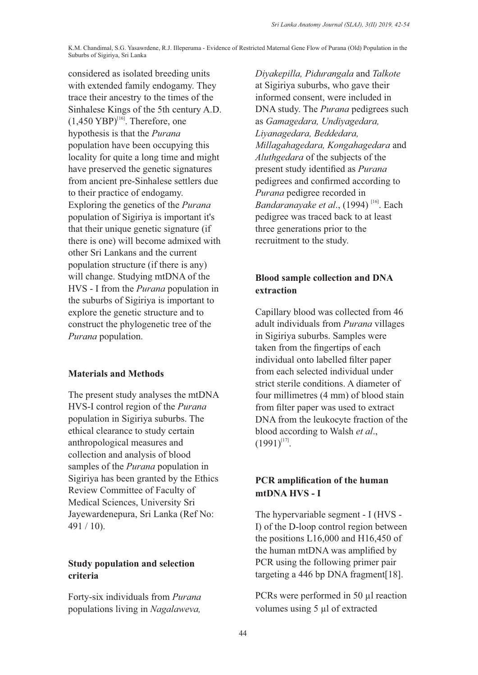considered as isolated breeding units with extended family endogamy. They trace their ancestry to the times of the Sinhalese Kings of the 5th century A.D.  $(1,450 \text{ YBP})^{[16]}$ . Therefore, one hypothesis is that the *Purana* population have been occupying this locality for quite a long time and might have preserved the genetic signatures from ancient pre-Sinhalese settlers due to their practice of endogamy. Exploring the genetics of the *Purana* population of Sigiriya is important it's that their unique genetic signature (if there is one) will become admixed with other Sri Lankans and the current population structure (if there is any) will change. Studying mtDNA of the HVS - I from the *Purana* population in the suburbs of Sigiriya is important to explore the genetic structure and to construct the phylogenetic tree of the *Purana* population.

#### **Materials and Methods**

The present study analyses the mtDNA HVS-I control region of the *Purana* population in Sigiriya suburbs. The ethical clearance to study certain anthropological measures and collection and analysis of blood samples of the *Purana* population in Sigiriya has been granted by the Ethics Review Committee of Faculty of Medical Sciences, University Sri Jayewardenepura, Sri Lanka (Ref No: 491 / 10).

#### **Study population and selection criteria**

Forty-six individuals from *Purana* populations living in *Nagalaweva,* 

*Diyakepilla, Pidurangala* and *Talkote* at Sigiriya suburbs, who gave their informed consent, were included in DNA study. The *Purana* pedigrees such as *Gamagedara, Undiyagedara, Liyanagedara, Beddedara, Millagahagedara, Kongahagedara* and *Aluthgedara* of the subjects of the present study identified as *Purana* pedigrees and confirmed according to *Purana* pedigree recorded in Bandaranayake et al., (1994)<sup>[16]</sup>. Each pedigree was traced back to at least three generations prior to the recruitment to the study.

#### **Blood sample collection and DNA extraction**

Capillary blood was collected from 46 adult individuals from *Purana* villages in Sigiriya suburbs. Samples were taken from the fingertips of each individual onto labelled filter paper from each selected individual under strict sterile conditions. A diameter of four millimetres (4 mm) of blood stain from filter paper was used to extract DNA from the leukocyte fraction of the blood according to Walsh *et al*.,  $(1991)^{[17]}$ .

#### **PCR amplification of the human mtDNA HVS - I**

The hypervariable segment - I (HVS - I) of the D-loop control region between the positions L16,000 and H16,450 of the human mtDNA was amplified by PCR using the following primer pair targeting a 446 bp DNA fragment[18].

PCRs were performed in 50  $\mu$ l reaction volumes using 5 µl of extracted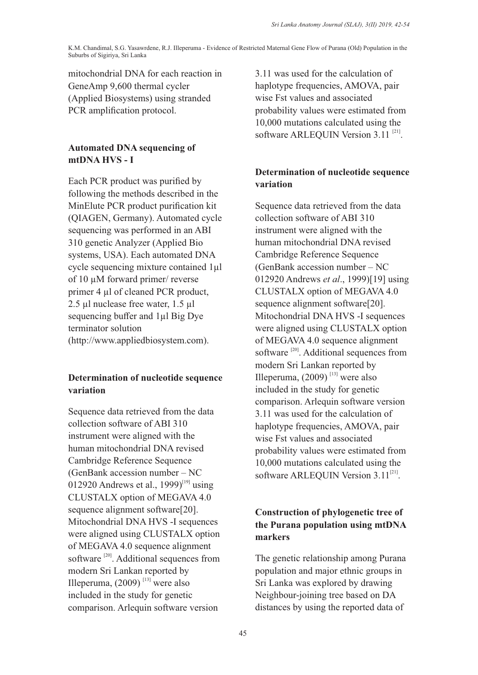mitochondrial DNA for each reaction in GeneAmp 9,600 thermal cycler (Applied Biosystems) using stranded PCR amplification protocol.

### **Automated DNA sequencing of mtDNA HVS - I**

Each PCR product was purified by following the methods described in the MinElute PCR product purification kit (QIAGEN, Germany). Automated cycle sequencing was performed in an ABI 310 genetic Analyzer (Applied Bio systems, USA). Each automated DNA cycle sequencing mixture contained 1µl of 10 µM forward primer/ reverse primer 4 µl of cleaned PCR product, 2.5 µl nuclease free water, 1.5 µl sequencing buffer and 1µl Big Dye terminator solution (http://www.appliedbiosystem.com).

## **Determination of nucleotide sequence variation**

Sequence data retrieved from the data collection software of ABI 310 instrument were aligned with the human mitochondrial DNA revised Cambridge Reference Sequence (GenBank accession number – NC 012920 Andrews et al., 1999)<sup>[19]</sup> using CLUSTALX option of MEGAVA 4.0 sequence alignment software[20]. Mitochondrial DNA HVS -I sequences were aligned using CLUSTALX option of MEGAVA 4.0 sequence alignment software  $^{[20]}$ . Additional sequences from modern Sri Lankan reported by Illeperuma,  $(2009)$ <sup>[13]</sup> were also included in the study for genetic comparison. Arlequin software version

3.11 was used for the calculation of haplotype frequencies, AMOVA, pair wise Fst values and associated probability values were estimated from 10,000 mutations calculated using the software ARLEQUIN Version  $3.11$ <sup>[21]</sup>.

## **Determination of nucleotide sequence variation**

Sequence data retrieved from the data collection software of ABI 310 instrument were aligned with the human mitochondrial DNA revised Cambridge Reference Sequence (GenBank accession number – NC 012920 Andrews *et al*., 1999)[19] using CLUSTALX option of MEGAVA 4.0 sequence alignment software[20]. Mitochondrial DNA HVS -I sequences were aligned using CLUSTALX option of MEGAVA 4.0 sequence alignment software  $[20]$ . Additional sequences from modern Sri Lankan reported by Illeperuma,  $(2009)$ <sup>[13]</sup> were also included in the study for genetic comparison. Arlequin software version 3.11 was used for the calculation of haplotype frequencies, AMOVA, pair wise Fst values and associated probability values were estimated from 10,000 mutations calculated using the software ARLEQUIN Version  $3.11^{[21]}$ .

## **Construction of phylogenetic tree of the Purana population using mtDNA markers**

The genetic relationship among Purana population and major ethnic groups in Sri Lanka was explored by drawing Neighbour-joining tree based on DA distances by using the reported data of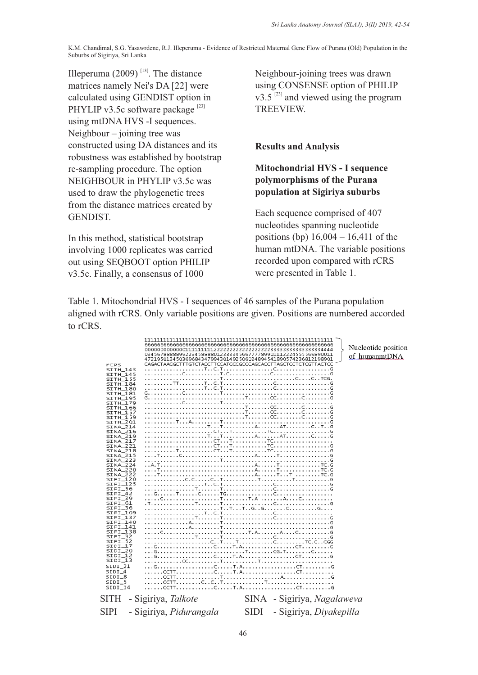Illeperuma (2009)<sup>[13]</sup>. The distance matrices namely Nei's DA [22] were calculated using GENDIST option in PHYLIP v3.5c software package<sup>[23]</sup> using mtDNA HVS -I sequences. Neighbour – joining tree was constructed using DA distances and its robustness was established by bootstrap re-sampling procedure. The option NEIGHBOUR in PHYLIP v3.5c was used to draw the phylogenetic trees from the distance matrices created by GENDIST.

In this method, statistical bootstrap involving 1000 replicates was carried out using SEQBOOT option PHILIP v3.5c. Finally, a consensus of 1000

Neighbour-joining trees was drawn using CONSENSE option of PHILIP  $v3.5^{23}$  and viewed using the program TREEVIEW.

**Results and Analysis**

#### **Mitochondrial HVS - I sequence polymorphisms of the Purana population at Sigiriya suburbs**

Each sequence comprised of 407 nucleotides spanning nucleotide positions (bp) 16,004 – 16,411 of the human mtDNA. The variable positions recorded upon compared with rCRS were presented in Table 1.

Table 1. Mitochondrial HVS - I sequences of 46 samples of the Purana population aligned with rCRS. Only variable positions are given. Positions are numbered accorded to rCRS.

| <b>rCRS</b><br>SITH_143<br>SITH_145<br><b>SITH_155</b><br>SITH_184<br>SITH_180<br>SITH_181<br>SITH_195<br>SITH_179<br>SITH_166<br>SITH_157<br>SITH_159<br>$STTH_201$<br>SINA_214<br>SINA_216<br>SINA_219<br>SINA_217<br>SINA_221<br>$SINA_218$<br>SINA_215<br>SINA_223<br>SINA_224<br><b>SINA_220</b><br><b>SINA_222</b><br>$SIPI$ <sub>120</sub><br>SIPI_125<br>$SIPI_56$<br>$SIPI_42$<br>$SIPI$ 39<br>SIPI_61<br>$SIPI_36$<br>SIPI_109<br>$SIPI$ 137<br>SIPI_140<br>$SIPI$ $141$<br>SIPI_138<br>$SIPI_32$<br>$SIPI_52$<br>SIDI_17<br>$SDI_20$<br>$SIDI_12$<br>$SIDI_13$<br>$SIDI_21$<br>SIDI <sub>4</sub><br>SIDI_8<br>$SIDI_5$<br>SIDI_I4 | 034567888889922345888801233334566777789901112224555566890011<br>472195013450369684347994301492506024894541890574236812198901<br>CAGACTAACGCTTTGTCTACCTTCCATCCCGCCCAGCACCTTAGCTCCTCTCGTTACTCC |             |                             | Nucleotide position<br>of humanmtDNA |
|----------------------------------------------------------------------------------------------------------------------------------------------------------------------------------------------------------------------------------------------------------------------------------------------------------------------------------------------------------------------------------------------------------------------------------------------------------------------------------------------------------------------------------------------------------------------------------------------------------------------------------------------|----------------------------------------------------------------------------------------------------------------------------------------------------------------------------------------------|-------------|-----------------------------|--------------------------------------|
| SITH                                                                                                                                                                                                                                                                                                                                                                                                                                                                                                                                                                                                                                         | - Sigiriya, Talkote                                                                                                                                                                          |             | SINA - Sigiriya, Nagalaweva |                                      |
| <b>SIPI</b>                                                                                                                                                                                                                                                                                                                                                                                                                                                                                                                                                                                                                                  | - Sigiriya, Pidurangala                                                                                                                                                                      | <b>SIDI</b> | - Sigiriya, Diyakepilla     |                                      |
|                                                                                                                                                                                                                                                                                                                                                                                                                                                                                                                                                                                                                                              |                                                                                                                                                                                              |             |                             |                                      |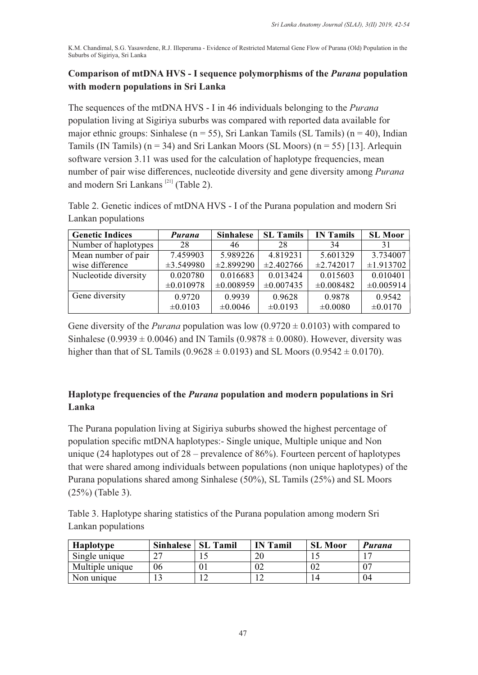### **Comparison of mtDNA HVS - I sequence polymorphisms of the** *Purana* **population with modern populations in Sri Lanka**

The sequences of the mtDNA HVS - I in 46 individuals belonging to the *Purana* population living at Sigiriya suburbs was compared with reported data available for major ethnic groups: Sinhalese ( $n = 55$ ), Sri Lankan Tamils (SL Tamils) ( $n = 40$ ), Indian Tamils (IN Tamils) ( $n = 34$ ) and Sri Lankan Moors (SL Moors) ( $n = 55$ ) [13]. Arlequin software version 3.11 was used for the calculation of haplotype frequencies, mean number of pair wise differences, nucleotide diversity and gene diversity among *Purana* and modern Sri Lankans  $^{[21]}$  (Table 2).

Table 2. Genetic indices of mtDNA HVS - I of the Purana population and modern Sri Lankan populations

| <b>Genetic Indices</b> | Purana         | <b>Sinhalese</b> | <b>SL</b> Tamils | <b>IN Tamils</b> | <b>SL Moor</b> |
|------------------------|----------------|------------------|------------------|------------------|----------------|
| Number of haplotypes   | 28             | 46               | 28               | 34               | 31             |
| Mean number of pair    | 7.459903       | 5.989226         | 4.819231         | 5.601329         | 3.734007       |
| wise difference        | $\pm 3.549980$ | $\pm 2.899290$   | $\pm 2.402766$   | $\pm 2.742017$   | $\pm 1.913702$ |
| Nucleotide diversity   | 0.020780       | 0.016683         | 0.013424         | 0.015603         | 0.010401       |
|                        | $\pm 0.010978$ | $\pm 0.008959$   | $\pm 0.007435$   | $\pm 0.008482$   | $\pm 0.005914$ |
| Gene diversity         | 0.9720         | 0.9939           | 0.9628           | 0.9878           | 0.9542         |
|                        | $\pm 0.0103$   | $\pm 0.0046$     | $\pm 0.0193$     | ±0.0080          | ±0.0170        |

Gene diversity of the *Purana* population was low  $(0.9720 \pm 0.0103)$  with compared to Sinhalese (0.9939  $\pm$  0.0046) and IN Tamils (0.9878  $\pm$  0.0080). However, diversity was higher than that of SL Tamils (0.9628  $\pm$  0.0193) and SL Moors (0.9542  $\pm$  0.0170).

## **Haplotype frequencies of the** *Purana* **population and modern populations in Sri Lanka**

The Purana population living at Sigiriya suburbs showed the highest percentage of population specific mtDNA haplotypes:- Single unique, Multiple unique and Non unique (24 haplotypes out of  $28$  – prevalence of  $86\%$ ). Fourteen percent of haplotypes that were shared among individuals between populations (non unique haplotypes) of the Purana populations shared among Sinhalese (50%), SL Tamils (25%) and SL Moors (25%) (Table 3).

Table 3. Haplotype sharing statistics of the Purana population among modern Sri Lankan populations

| <b>Haplotype</b> | <b>Sinhalese</b> | <b>SL Tamil</b> | <b>IN</b> Tamil | <b>SL Moor</b> | Purana |
|------------------|------------------|-----------------|-----------------|----------------|--------|
| Single unique    |                  |                 |                 |                |        |
| Multiple unique  | 06               |                 | ື               | ∪∠             |        |
| Non unique       |                  |                 |                 | 4۱             | 04     |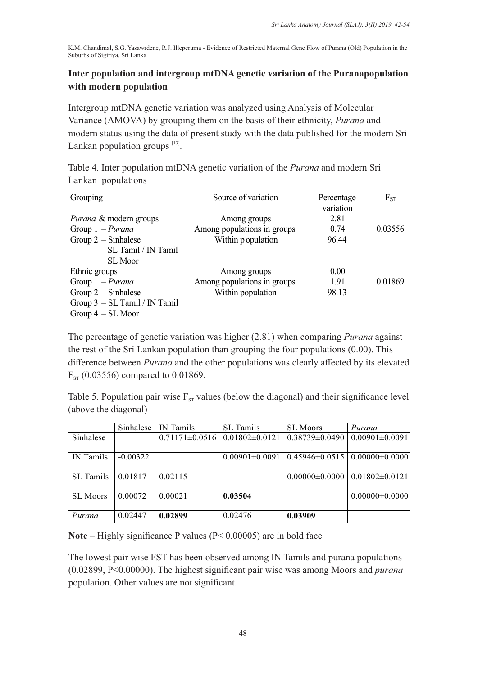### **Inter population and intergroup mtDNA genetic variation of the Puranapopulation with modern population**

Intergroup mtDNA genetic variation was analyzed using Analysis of Molecular Variance (AMOVA) by grouping them on the basis of their ethnicity, *Purana* and modern status using the data of present study with the data published for the modern Sri Lankan population groups  $^{[13]}$ .

Table 4. Inter population mtDNA genetic variation of the *Purana* and modern Sri Lankan populations

| Grouping                          | Source of variation         | Percentage<br>variation | $F_{ST}$ |
|-----------------------------------|-----------------------------|-------------------------|----------|
| <i>Purana &amp;</i> modern groups | Among groups                | 2.81                    |          |
| Group $1$ – <i>Purana</i>         | Among populations in groups | 0.74                    | 0.03556  |
| Group $2$ – Sinhalese             | Within p opulation          | 96.44                   |          |
| SL Tamil / IN Tamil               |                             |                         |          |
| SL Moor                           |                             |                         |          |
| Ethnic groups                     | Among groups                | 0.00                    |          |
| Group $1$ – <i>Purana</i>         | Among populations in groups | 1.91                    | 0.01869  |
| Group $2$ – Sinhalese             | Within population           | 98.13                   |          |
| Group 3 - SL Tamil / IN Tamil     |                             |                         |          |
| Group $4 - SL$ Moor               |                             |                         |          |

The percentage of genetic variation was higher (2.81) when comparing *Purana* against the rest of the Sri Lankan population than grouping the four populations (0.00). This difference between *Purana* and the other populations was clearly affected by its elevated  $F_{ST}$  (0.03556) compared to 0.01869.

Table 5. Population pair wise  $F_{ST}$  values (below the diagonal) and their significance level (above the diagonal)

|                  | Sinhalese  | IN Tamils          | <b>SL</b> Tamils     | <b>SL Moors</b>                             | Purana               |
|------------------|------------|--------------------|----------------------|---------------------------------------------|----------------------|
| Sinhalese        |            | $0.71171\pm0.0516$ | $0.01802 \pm 0.0121$ | $0.38739 \pm 0.0490$                        | $0.00901 \pm 0.0091$ |
|                  |            |                    |                      |                                             |                      |
| IN Tamils        | $-0.00322$ |                    | $0.00901 \pm 0.0091$ | $0.45946 \pm 0.0515$   $0.00000 \pm 0.0000$ |                      |
|                  |            |                    |                      |                                             |                      |
| <b>SL</b> Tamils | 0.01817    | 0.02115            |                      | $0.00000 \pm 0.0000$                        | $0.01802 \pm 0.0121$ |
|                  |            |                    |                      |                                             |                      |
| <b>SL Moors</b>  | 0.00072    | 0.00021            | 0.03504              |                                             | $0.00000 \pm 0.0000$ |
|                  |            |                    |                      |                                             |                      |
| Purana           | 0.02447    | 0.02899            | 0.02476              | 0.03909                                     |                      |

**Note** – Highly significance P values (P< 0.00005) are in bold face

The lowest pair wise FST has been observed among IN Tamils and purana populations (0.02899, P<0.00000). The highest significant pair wise was among Moors and *purana*  population. Other values are not significant.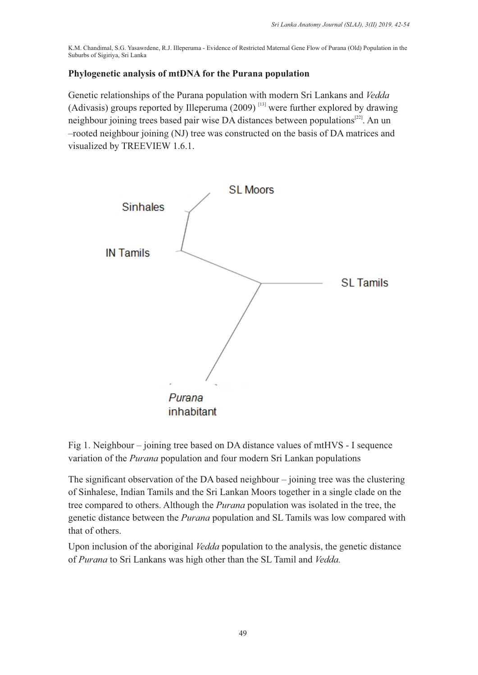#### **Phylogenetic analysis of mtDNA for the Purana population**

Genetic relationships of the Purana population with modern Sri Lankans and *Vedda* (Adivasis) groups reported by Illeperuma  $(2009)$ <sup>[13]</sup> were further explored by drawing neighbour joining trees based pair wise DA distances between populations $^{[22]}$ . An un –rooted neighbour joining (NJ) tree was constructed on the basis of DA matrices and visualized by TREEVIEW 1.6.1.



Fig 1. Neighbour – joining tree based on DA distance values of mtHVS - I sequence variation of the *Purana* population and four modern Sri Lankan populations

The significant observation of the DA based neighbour – joining tree was the clustering of Sinhalese, Indian Tamils and the Sri Lankan Moors together in a single clade on the tree compared to others. Although the *Purana* population was isolated in the tree, the genetic distance between the *Purana* population and SL Tamils was low compared with that of others.

Upon inclusion of the aboriginal *Vedda* population to the analysis, the genetic distance of *Purana* to Sri Lankans was high other than the SL Tamil and *Vedda.*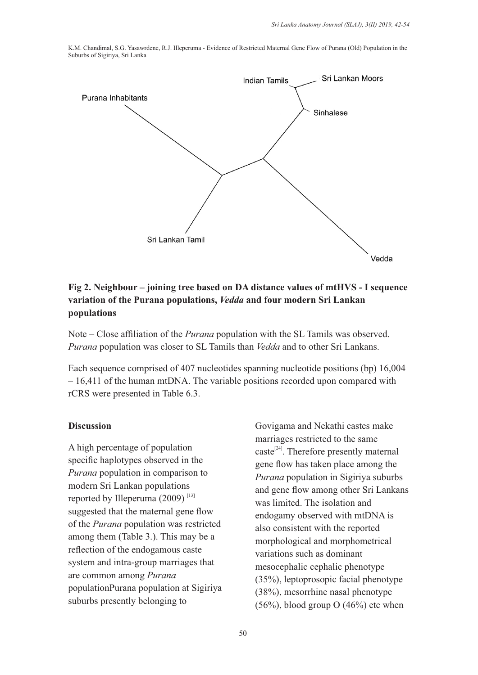

## **Fig 2. Neighbour – joining tree based on DA distance values of mtHVS - I sequence variation of the Purana populations,** *Vedda* **and four modern Sri Lankan populations**

Note – Close affiliation of the *Purana* population with the SL Tamils was observed. *Purana* population was closer to SL Tamils than *Vedda* and to other Sri Lankans.

Each sequence comprised of 407 nucleotides spanning nucleotide positions (bp) 16,004 – 16,411 of the human mtDNA. The variable positions recorded upon compared with rCRS were presented in Table 6.3.

#### **Discussion**

A high percentage of population specific haplotypes observed in the *Purana* population in comparison to modern Sri Lankan populations reported by Illeperuma  $(2009)$ <sup>[13]</sup> suggested that the maternal gene flow of the *Purana* population was restricted among them (Table 3.). This may be a reflection of the endogamous caste system and intra-group marriages that are common among *Purana* populationPurana population at Sigiriya suburbs presently belonging to

Govigama and Nekathi castes make marriages restricted to the same  $\text{caste}^{[24]}$ . Therefore presently maternal gene flow has taken place among the *Purana* population in Sigiriya suburbs and gene flow among other Sri Lankans was limited. The isolation and endogamy observed with mtDNA is also consistent with the reported morphological and morphometrical variations such as dominant mesocephalic cephalic phenotype (35%), leptoprosopic facial phenotype (38%), mesorrhine nasal phenotype  $(56\%)$ , blood group O  $(46\%)$  etc when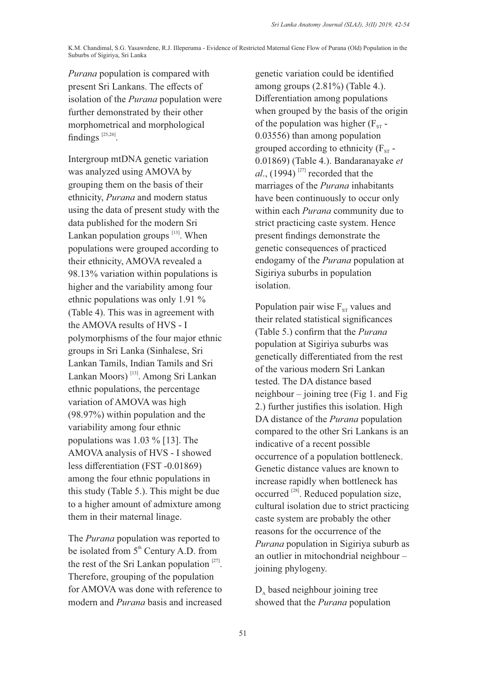*Purana* population is compared with present Sri Lankans. The effects of isolation of the *Purana* population were further demonstrated by their other morphometrical and morphological findings  $^{[25,26]}$ .

Intergroup mtDNA genetic variation was analyzed using AMOVA by grouping them on the basis of their ethnicity, *Purana* and modern status using the data of present study with the data published for the modern Sri Lankan population groups  $\left[13\right]$ . When populations were grouped according to their ethnicity, AMOVA revealed a 98.13% variation within populations is higher and the variability among four ethnic populations was only 1.91 % (Table 4). This was in agreement with the AMOVA results of HVS - I polymorphisms of the four major ethnic groups in Sri Lanka (Sinhalese, Sri Lankan Tamils, Indian Tamils and Sri Lankan Moors)<sup>[13]</sup>. Among Sri Lankan ethnic populations, the percentage variation of AMOVA was high (98.97%) within population and the variability among four ethnic populations was 1.03 % [13]. The AMOVA analysis of HVS - I showed less differentiation (FST -0.01869) among the four ethnic populations in this study (Table 5.). This might be due to a higher amount of admixture among them in their maternal linage.

The *Purana* population was reported to be isolated from  $5<sup>th</sup>$  Century A.D. from the rest of the Sri Lankan population  $[27]$ . Therefore, grouping of the population for AMOVA was done with reference to modern and *Purana* basis and increased genetic variation could be identified among groups (2.81%) (Table 4.). Differentiation among populations when grouped by the basis of the origin of the population was higher  $(F_{ST} -$ 0.03556) than among population grouped according to ethnicity  $(F_{ST} -$ 0.01869) (Table 4.). Bandaranayake *et*   $al$ ., (1994)<sup>[27]</sup> recorded that the marriages of the *Purana* inhabitants have been continuously to occur only within each *Purana* community due to strict practicing caste system. Hence present findings demonstrate the genetic consequences of practiced endogamy of the *Purana* population at Sigiriya suburbs in population isolation.

Population pair wise  $F_{ST}$  values and their related statistical significances (Table 5.) confirm that the *Purana* population at Sigiriya suburbs was genetically differentiated from the rest of the various modern Sri Lankan tested. The DA distance based neighbour – joining tree (Fig 1. and Fig 2.) further justifies this isolation. High DA distance of the *Purana* population compared to the other Sri Lankans is an indicative of a recent possible occurrence of a population bottleneck. Genetic distance values are known to increase rapidly when bottleneck has  $occurred^{[28]}$ . Reduced population size, cultural isolation due to strict practicing caste system are probably the other reasons for the occurrence of the *Purana* population in Sigiriya suburb as an outlier in mitochondrial neighbour – joining phylogeny.

 $D_A$  based neighbour joining tree showed that the *Purana* population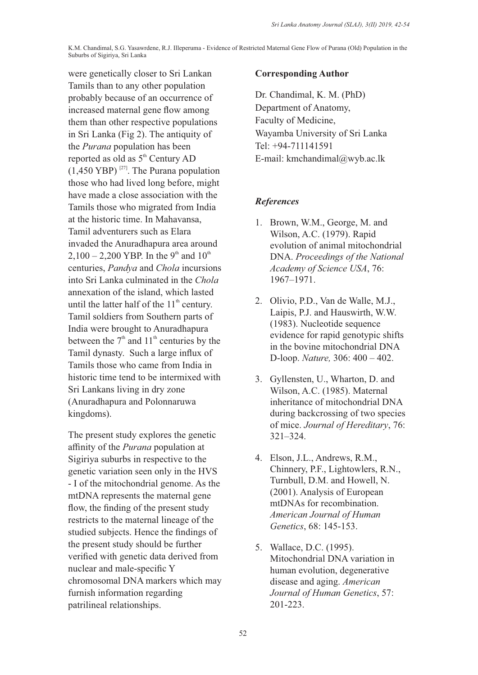were genetically closer to Sri Lankan Tamils than to any other population probably because of an occurrence of increased maternal gene flow among them than other respective populations in Sri Lanka (Fig 2). The antiquity of the *Purana* population has been reported as old as  $5<sup>th</sup>$  Century AD  $(1,450 \text{ YBP})$ <sup>[27]</sup>. The Purana population those who had lived long before, might have made a close association with the Tamils those who migrated from India at the historic time. In Mahavansa, Tamil adventurers such as Elara invaded the Anuradhapura area around 2,100 – 2,200 YBP. In the 9<sup>th</sup> and 10<sup>th</sup> centuries, *Pandya* and *Chola* incursions into Sri Lanka culminated in the *Chola* annexation of the island, which lasted until the latter half of the  $11<sup>th</sup>$  century. Tamil soldiers from Southern parts of India were brought to Anuradhapura between the  $7<sup>th</sup>$  and  $11<sup>th</sup>$  centuries by the Tamil dynasty. Such a large influx of Tamils those who came from India in historic time tend to be intermixed with Sri Lankans living in dry zone (Anuradhapura and Polonnaruwa kingdoms).

The present study explores the genetic affinity of the *Purana* population at Sigiriya suburbs in respective to the genetic variation seen only in the HVS - I of the mitochondrial genome. As the mtDNA represents the maternal gene flow, the finding of the present study restricts to the maternal lineage of the studied subjects. Hence the findings of the present study should be further verified with genetic data derived from nuclear and male-specific Y chromosomal DNA markers which may furnish information regarding patrilineal relationships.

#### **Corresponding Author**

Dr. Chandimal, K. M. (PhD) Department of Anatomy, Faculty of Medicine, Wayamba University of Sri Lanka Tel: +94-711141591 E-mail: kmchandimal@wyb.ac.lk

## *References*

- 1. Brown, W.M., George, M. and Wilson, A.C. (1979). Rapid evolution of animal mitochondrial DNA. *Proceedings of the National Academy of Science USA*, 76: 1967–1971.
- 2. Olivio, P.D., Van de Walle, M.J., Laipis, P.J. and Hauswirth, W.W. (1983). Nucleotide sequence evidence for rapid genotypic shifts in the bovine mitochondrial DNA D-loop. *Nature,* 306: 400 – 402.
- 3. Gyllensten, U., Wharton, D. and Wilson, A.C. (1985). Maternal inheritance of mitochondrial DNA during backcrossing of two species of mice. *Journal of Hereditary*, 76: 321–324.
- 4. Elson, J.L., Andrews, R.M., Chinnery, P.F., Lightowlers, R.N., Turnbull, D.M. and Howell, N. (2001). Analysis of European mtDNAs for recombination. *American Journal of Human Genetics*, 68: 145-153.
- 5. Wallace, D.C. (1995). Mitochondrial DNA variation in human evolution, degenerative disease and aging. *American Journal of Human Genetics*, 57: 201-223.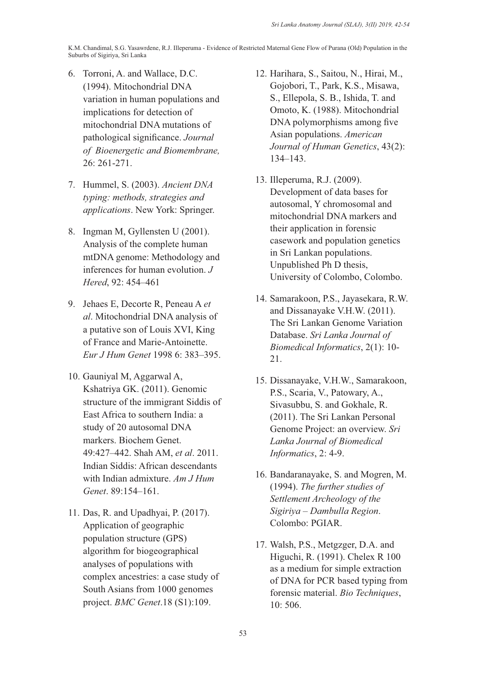- 6. Torroni, A. and Wallace, D.C. (1994). Mitochondrial DNA variation in human populations and implications for detection of mitochondrial DNA mutations of pathological significance. *Journal of Bioenergetic and Biomembrane,* 26: 261-271.
- 7. Hummel, S. (2003). *Ancient DNA typing: methods, strategies and applications*. New York: Springer.
- 8. Ingman M, Gyllensten U (2001). Analysis of the complete human mtDNA genome: Methodology and inferences for human evolution. *J Hered*, 92: 454–461
- 9. Jehaes E, Decorte R, Peneau A *et al*. Mitochondrial DNA analysis of a putative son of Louis XVI, King of France and Marie-Antoinette. *Eur J Hum Genet* 1998 6: 383–395.
- 10. Gauniyal M, Aggarwal A, Kshatriya GK. (2011). Genomic structure of the immigrant Siddis of East Africa to southern India: a study of 20 autosomal DNA markers. Biochem Genet. 49:427–442. Shah AM, *et al*. 2011. Indian Siddis: African descendants with Indian admixture. *Am J Hum Genet*. 89:154–161.
- 11. Das, R. and Upadhyai, P. (2017). Application of geographic population structure (GPS) algorithm for biogeographical analyses of populations with complex ancestries: a case study of South Asians from 1000 genomes project. *BMC Genet*.18 (S1):109.
- 12. Harihara, S., Saitou, N., Hirai, M., Gojobori, T., Park, K.S., Misawa, S., Ellepola, S. B., Ishida, T. and Omoto, K. (1988). Mitochondrial DNA polymorphisms among five Asian populations. *American Journal of Human Genetics*, 43(2): 134–143.
- 13. Illeperuma, R.J. (2009). Development of data bases for autosomal, Y chromosomal and mitochondrial DNA markers and their application in forensic casework and population genetics in Sri Lankan populations. Unpublished Ph D thesis, University of Colombo, Colombo.
- 14. Samarakoon, P.S., Jayasekara, R.W. and Dissanayake V.H.W. (2011). The Sri Lankan Genome Variation Database. *Sri Lanka Journal of Biomedical Informatics*, 2(1): 10- 21.
- 15. Dissanayake, V.H.W., Samarakoon, P.S., Scaria, V., Patowary, A., Sivasubbu, S. and Gokhale, R. (2011). The Sri Lankan Personal Genome Project: an overview. *Sri Lanka Journal of Biomedical Informatics*, 2: 4-9.
- 16. Bandaranayake, S. and Mogren, M. (1994). *The further studies of Settlement Archeology of the Sigiriya – Dambulla Region*. Colombo: PGIAR.
- 17. Walsh, P.S., Metgzger, D.A. and Higuchi, R. (1991). Chelex R 100 as a medium for simple extraction of DNA for PCR based typing from forensic material. *Bio Techniques*, 10: 506.